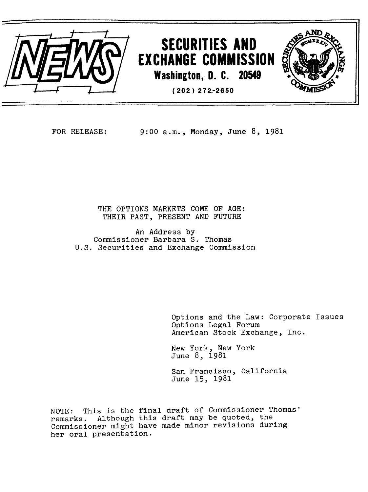

FOR RELEASE: 9:00 a.m., Monday, June 8, 1981

THE OPTIONS MARKETS COME OF AGE: THEIR PAST, PRESENT AND FUTURE

An Address by Commissioner Barbara S. Thomas U.S. Securities and Exchange Commission

> Options and the Law: Corporate Issues Options Legal Forum American Stock Exchange, Inc.

New York, New York June 8, 1981

San Francisco, California June 15, 1981

NOTE: This is the final draft of Commissioner Thomas' remarks. Although this draft may be quoted, the Commissioner might have made minor revisions during her oral presentation.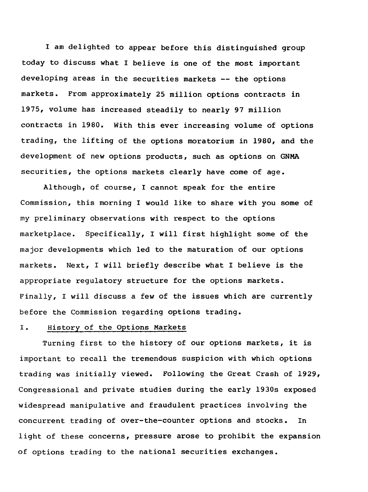I am delighted to appear before this distinguished group today to discuss what I believe is one of the most important developing areas in the securities markets -- the options markets. From approximately 25 million options contracts in 1975, volume has increased steadily to nearly 97 million contracts in 1980. With this ever increasing volume of options trading, the lifting of the options moratorium in 1980, and the development of new options products, such as options on GNMA securities, the options markets clearly have come of age.

Although, of course, I cannot speak for the entire Commission, this morning I would like to share with you some of my preliminary observations with respect to the options marketplace. Specifically, I will first highlight some of the major developments which led to the maturation of our options markets. Next, I will briefly describe what I believe is the appropriate regulatory structure for the options markets. Finally, I will discuss a few of the issues which are currently before the Commission regarding options trading.

## I. History of the Options Markets

Turning first to the history of our options markets, it is important to recall the tremendous suspicion with which options trading was initially viewed. Following the Great Crash of 1929, Congressional and private studies during the early 1930s exposed widespread manipulative and fraudulent practices involving the concurrent trading of over-the-counter options and stocks. In light of these concerns, pressure arose to prohibit the expansion of options trading to the national securities exchanges.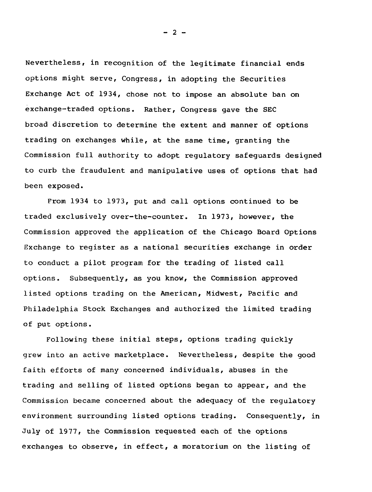Nevertheless, in recognition of the legitimate financial ends options might serve, Congress, in adopting the Securities Exchange Act of 1934, chose not to impose an absolute ban on exchange-traded options. Rather, Congress gave the SEC broad discretion to determine the extent and manner of options trading on exchanges while, at the same time, granting the Commission full authority to adopt regulatory safeguards designed to curb the fraudulent and manipulative uses of options that had been exposed.

From 1934 to 1973, put and call options continued to be traded exclusively over-the-counter. In 1973, however, the Commission approved the application of the Chicago Board Options Exchange to register as a national securities exchange in order to conduct a pilot program for the trading of listed call options. Subsequently, as you know, the Commission approved listed options trading on the American, Midwest, Pacific and Philadelphia Stock Exchanges and authorized the limited trading of put options.

Following these initial steps, options trading quickly grew into an active marketplace. Nevertheless, despite the good faith efforts of many concerned individuals, abuses in the trading and selling of listed options began to appear, and the Commission became concerned about the adequacy of the regulatory environment surrounding listed options trading. Consequently, in July of 1977, the Commission requested each of the options exchanges to observe, in effect, a moratorium on the listing of

 $- 2 -$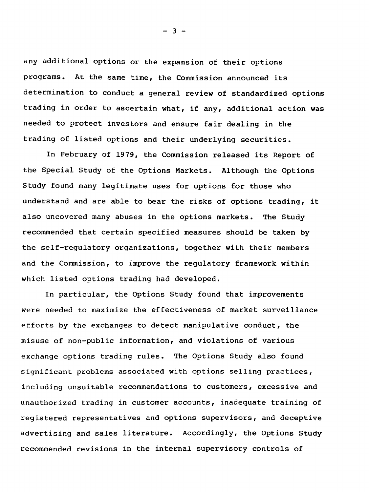any additional options or the expansion of their options programs. At the same time, the Commission announced its determination to conduct a general review of standardized options trading in order to ascertain what, if any, additional action was needed to protect investors and ensure fair dealing in the trading of listed options and their underlying securities.

In February of 1979, the Commission released its Report of the Special Study of the Options Markets. Although the Options Study found many legitimate uses for options for those who understand and are able to bear the risks of options trading, it also uncovered many abuses in the options markets. The Study recommended that certain specified measures should be taken by the self-regulatory organizations, together with their members and the Commission, to improve the regulatory framework within which listed options trading had developed.

In particular, the Options Study found that improvements were needed to maximize the effectiveness of market surveillance efforts by the exchanges to detect manipulative conduct, the misuse of non-public information, and violations of various exchange options trading rules. The Options Study also found significant problems associated with options selling practices, including unsuitable recommendations to customers, excessive and unauthorized trading in customer accounts, inadequate training of registered representatives and options supervisors, and deceptive advertising and sales literature. Accordingly, the Options Study recommended revisions in the internal supervisory controls of

 $-3 -$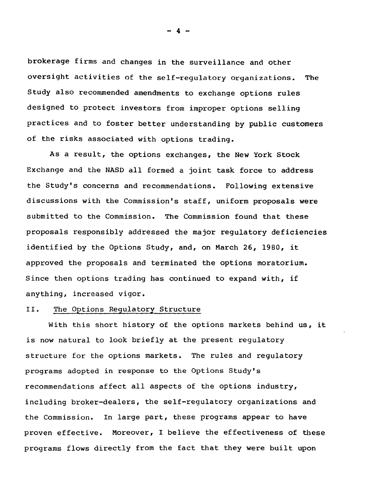brokerage firms and changes in the surveillance and other oversight activities of the self-regulatory organizations. The Study also recommended amendments to exchange options rules designed to protect investors from improper options selling practices and to foster better understanding by public customers of the risks associated with options trading.

As a result, the options exchanges, the New York Stock Exchange and the NASD all formed a joint task force to address the Study's concerns and recommendations. Following extensive discussions with the Commission's staff, uniform proposals were submitted to the Commission. The Commission found that these proposals responsibly addressed the major regulatory deficiencies identified by the Options Study, and, on March 26, 1980, it approved the proposals and terminated the options moratorium. Since then options trading has continued to expand with, if anything, increased vigor.

### II. The Options Regulatory Structure

With this short history of the options markets behind us, it is now natural to look briefly at the present regulatory structure for the options markets. The rules and regulatory programs adopted in response to the Options Study's recommendations affect all aspects of the options industry, including broker-dealers, the self-regulatory organizations and the Commission. In large part, these programs appear to have proven effective. Moreover, I believe the effectiveness of these programs flows directly from the fact that they were built upon

- 4 -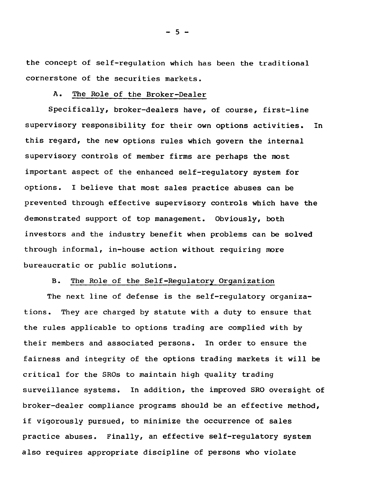the concept of self-regulation which has been the traditional cornerstone of the securities markets.

### A. The Role of the Broker-Dealer

Specifically, broker-dealers have, of course, first-line supervisory responsibility for their own options activities. In this regard, the new options rules which govern the internal supervisory controls of member firms are perhaps the most important aspect of the enhanced self-regulatory system for options. I believe that most sales practice abuses can be prevented through effective supervisory controls which have the demonstrated support of top management. Obviously, both investors and the industry benefit when problems can be solved through informal, in-house action without requiring more bureaucratic or public solutions.

## B. The Role of the Self-Regulatory Organization

The next line of defense is the self-regulatory organizations. They are charged by statute with a duty to ensure that the rules applicable to options trading are complied with by their members and associated persons. In order to ensure the fairness and integrity of the options trading markets it will be critical for the SROs to maintain high quality trading surveillance systems. In addition, the improved SRO oversight of broker-dealer compliance programs should be an effective method, if vigorously pursued, to minimize the occurrence of sales practice abuses. Finally, an effective self-regulatory system also requires appropriate discipline of persons who violate

 $-5 -$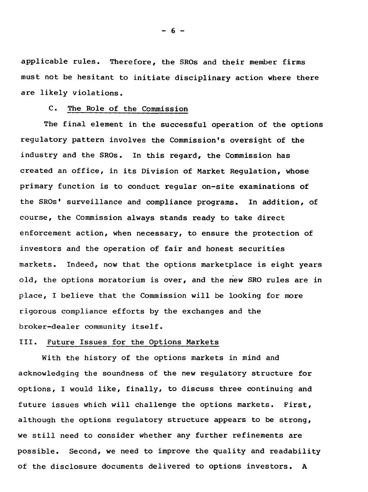applicable rules. Therefore, the SROs and their member firms must not be hesitant to initiate disciplinary action where there are likely violations.

### C. The Role of the Commission

The final element in the successful operation of the options regulatory pattern involves the Commission's oversight of the industry and the SROs. In this regard, the Commission has created an office, in its Division of Market Regulation, whose primary function is to conduct regular on-site examinations of the SROs' surveillance and compliance programs. In addition, of course, the Commission always stands ready to take direct enforcement action, when necessary, to ensure the protection of investors and the operation of fair and honest securities markets. Indeed, now that the options marketplace is eight years old, the options moratorium is over, and the new SRO rules are in place, I believe that the Commission will be looking for more rigorous compliance efforts by the exchanges and the broker-dealer community itself.

# III. Future Issues for the Options Markets

With the history of the options markets in mind and acknowledging the soundness of the new regulatory structure for options, I would like, finally, to discuss three continuing and future issues which will challenge the options markets. First, although the options regulatory structure appears to be strong, we still need to consider whether any further refinements are possible. Second, we need to improve the quality and readability of the disclosure documents delivered to options investors. A

- 6 -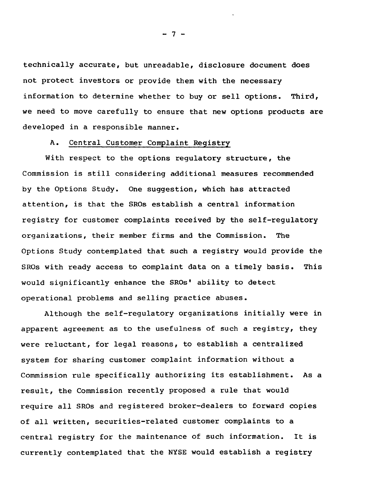technically accurate, but unreadable, disclosure document does not protect investors or provide them with the necessary information to determine whether to buy or sell options. Third, we need to move carefully to ensure that new options products are developed in a responsible manner.

#### A. Central Customer Complaint Registry

With respect to the options regulatory structure, the Commission is still considering additional measures recommended by the Options Study. One suggestion, which has attracted attention, is that the SROs establish a central information registry for customer complaints received by the self-regulatory organizations, their member firms and the Commission. The Options Study contemplated that such a registry would provide the SROs with ready access to complaint data on a timely basis. This would significantly enhance the SROs' ability to detect operational problems and selling practice abuses.

Although the self-regulatory organizations initially were in apparent agreement as to the usefulness of such a registry, they were reluctant, for legal reasons, to establish a centralized system for sharing customer complaint information without a Commission rule specifically authorizing its establishment. As a result, the Commission recently proposed a rule that would require all SROs and registered broker-dealers to forward copies of all written, securities-related customer complaints to a central registry for the maintenance of such information. It is currently contemplated that the NYSE would establish a registry

 $-7 -$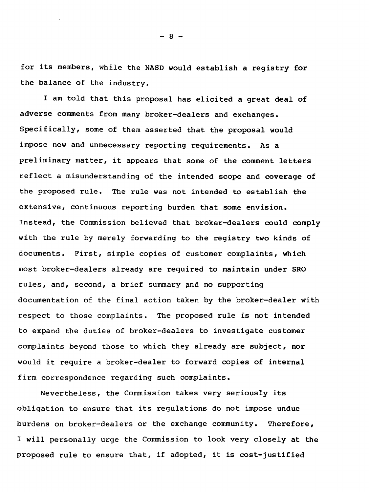for its members, while the NASD would establish a registry for the balance of the industry.

I am told that this proposal has elicited a great deal of adverse comments from many broker-dealers and exchanges. Specifically, some of them asserted that the proposal would impose new and unnecessary reporting requirements. As a preliminary matter, it appears that some of the comment letters reflect a misunderstanding of the intended scope and coverage of the proposed rule. The rule was not intended to establish the extensive, continuous reporting burden that some envision. Instead, the Commission believed that broker-dealers could comply with the rule by merely forwarding to the registry two kinds of documents. First, simple copies of customer complaints, which most broker-dealers already are required to maintain under SRO rules, and, second, a brief summary pnd no supporting documentation of the final action taken by the broker-dealer with respect to those complaints. The proposed rule is not intended to expand the duties of broker-dealers to investigate customer complaints beyond those to which they already are subject, nor would it require a broker-dealer to forward copies of internal firm correspondence regarding such complaints.

Nevertheless, the Commission takes very seriously its obligation to ensure that its regulations do not impose undue burdens on broker-dealers or the exchange community. Therefore, I will personally urge the Commission to look very closely at the proposed rule to ensure that, if adopted, it is cost-justified

 $- 8 -$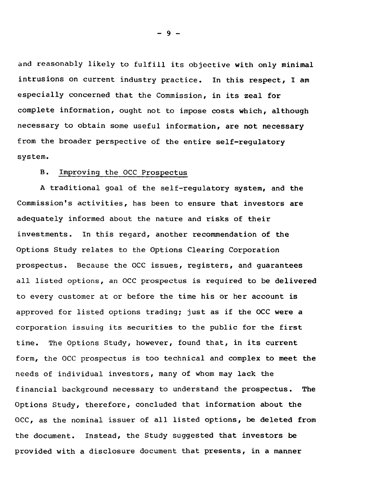and reasonably likely to fulfill its objective with only minimal intrusions on current industry practice. In this respect, I am especially concerned that the Commission, in its zeal for complete information, ought not to impose costs which, although necessary to obtain some useful information, are not necessary from the broader perspective of the entire self-regulatory system.

## B. Improving the OCC Prospectus

A traditional goal of the self-regulatory system, and the Commission's activities, has been to ensure that investors are adequately informed about the nature and risks of their investments. In this regard, another recommendation of the Options Study relates to the Options Clearing Corporation prospectus. Because the OCC issues, registers, and guarantees all listed options, an OCC prospectus is required to be delivered to every customer at or before the time his or her account is approved for listed options trading; just as if the OCC were a corporation issuing its securities to the public for the first time. The Options Study, however, found that, in its current form, the OCC prospectus is too technical and complex to meet the needs of individual investors, many of whom may lack the financial background necessary to understand the prospectus. The Options Study, therefore, concluded that information about the OCC, as the nominal issuer of all listed options, be deleted from the document. Instead, the Study suggested that investors be provided with a disclosure document that presents, in a manner

- 9 -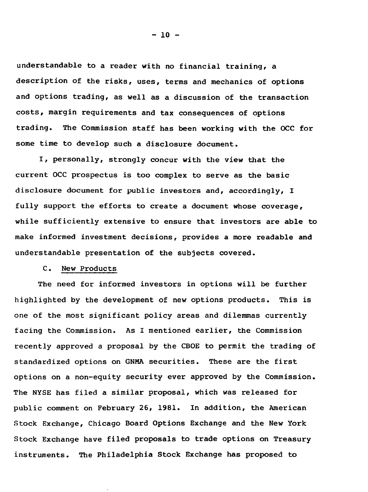understandable to a reader with no financial training, a description of the risks, uses, terms and mechanics of options and options trading, as well as a discussion of the transaction costs, margin requirements and tax consequences of options trading. The Commission staff has been working with the OCC for some time to develop such a disclosure document.

I, personally, strongly concur with the view that the current OCC prospectus is too complex to serve as the basic disclosure document for public investors and, accordingly, I fully support the efforts to create a document whose coverage, while sufficiently extensive to ensure that investors are able to make informed investment decisions, provides a more readable and understandable presentation of the subjects covered.

### C. New Products

The need for informed investors in options will be further highlighted by the development of new options products. This is one of the most significant policy areas and dilemmas currently facing the Commission. As I mentioned earlier, the Commission recently approved a proposal by the CBOE to permit the trading of standardized options on GNMA securities. These are the first options on a non-equity security ever approved by the Commission. The NYSE has filed a similar proposal, which was released for public comment on February 26, 1981. In addition, the American Stock Exchange, Chicago Board Options Exchange and the New York Stock Exchange have filed proposals to trade options on Treasury instruments. The Philadelphia Stock Exchange has proposed to

 $-10 -$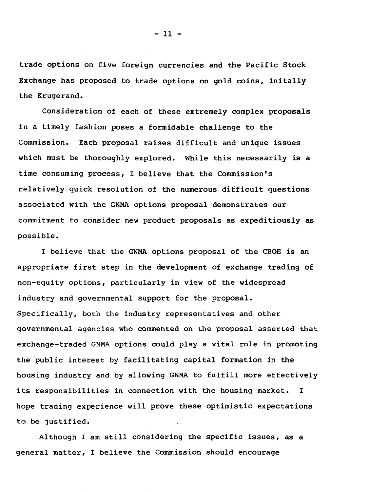trade options on five foreign currencies and the Pacific Stock Exchange has proposed to trade options on gold coins, initally the Krugerand.

Consideration of each of these extremely complex proposals in a timely fashion poses a formidable challenge to the Commission. Each proposal raises difficult and unique issues which must be thoroughly explored. While this necessarily is a time consuming process, I believe that the Commission's relatively quick resolution of the numerous difficult questions associated with the GNMA options proposal demonstrates our commitment to consider new product proposals as expeditiously as possible.

I believe that the GNMA options proposal of the CBOE is an appropriate first step in the development of exchange trading of non-equity options, particularly in view of the widespread industry and governmental support for the proposal. Specifically, both the industry representatives and other governmental agencies who commented on the proposal asserted that exchange-traded GNMA options could play a vital role in promoting the public interest by facilitating capital formation in the housing industry and by allowing GNMA to fulfill more effectively its responsibilities in connection with the housing market. I hope trading experience will prove these optimistic expectations to be justified.

Although I am still considering the specific issues, as a general matter, I believe the Commission should encourage

- 11 -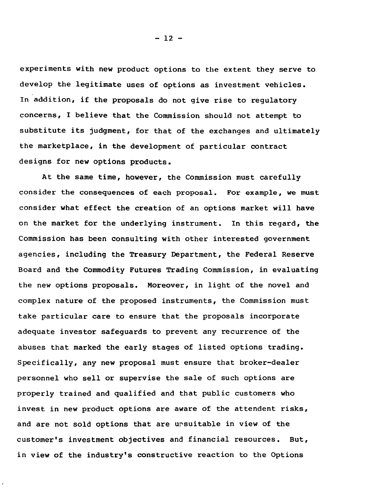experiments with new product options to the extent they serve to develop the legitimate uses of options as investment vehicles. In addition, if the proposals do not give rise to regulatory concerns, I believe that the Commission should not attempt to substitute its judgment, for that of the exchanges and ultimately the marketplace, in the development of particular contract designs for new options products.

At the same time, however, the Commission must carefully consider the consequences of each proposal. For example, we must consider what effect the creation of an options market will have on the market for the underlying instrument. In this regard, the Commission has been consulting with other interested government agencies, including the Treasury Department, the Federal Reserve Board and the Commodity Futures Trading Commission, in evaluating the new options proposals. Moreover, in light of the novel and complex nature of the proposed instruments, the Commission must take particular care to ensure that the proposals incorporate adequate investor safeguards to prevent any recurrence of the abuses that marked the early stages of listed options trading. Specifically, any new proposal must ensure that broker-dealer personnel who sell or supervise the sale of such options are properly trained and qualified and that public customers who invest in new product options are aware of the attendent risks, and are not sold options that are ursuitable in view of the customer's investment objectives and financial resources. But, in view of the industry's constructive reaction to the Options

 $-12 -$